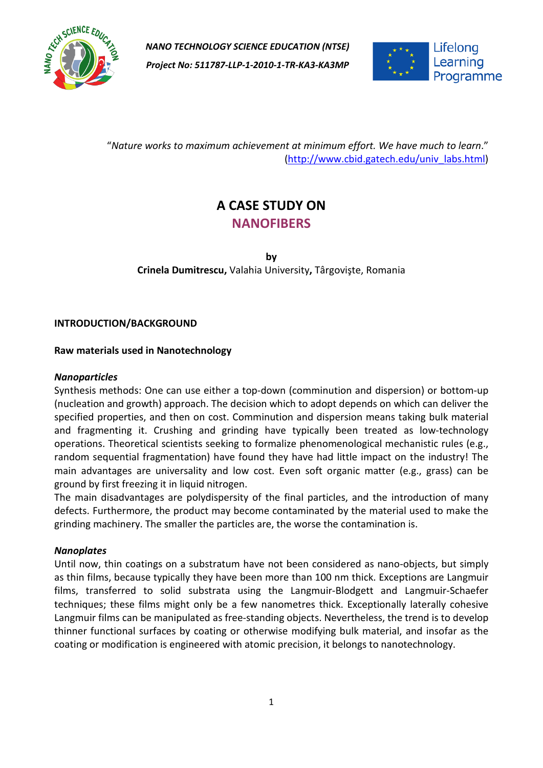



"*Nature works to maximum achievement at minimum effort. We have much to learn*." [\(http://www.cbid.gatech.edu/univ\\_labs.html\)](http://www.cbid.gatech.edu/univ_labs.html)

# **A CASE STUDY ON NANOFIBERS**

**by Crinela Dumitrescu,** Valahia University**,** Târgovişte, Romania

# **INTRODUCTION/BACKGROUND**

## **Raw materials used in Nanotechnology**

#### *Nanoparticles*

Synthesis methods: One can use either a top-down (comminution and dispersion) or bottom-up (nucleation and growth) approach. The decision which to adopt depends on which can deliver the specified properties, and then on cost. Comminution and dispersion means taking bulk material and fragmenting it. Crushing and grinding have typically been treated as low-technology operations. Theoretical scientists seeking to formalize phenomenological mechanistic rules (e.g., random sequential fragmentation) have found they have had little impact on the industry! The main advantages are universality and low cost. Even soft organic matter (e.g., grass) can be ground by first freezing it in liquid nitrogen.

The main disadvantages are polydispersity of the final particles, and the introduction of many defects. Furthermore, the product may become contaminated by the material used to make the grinding machinery. The smaller the particles are, the worse the contamination is.

#### *Nanoplates*

Until now, thin coatings on a substratum have not been considered as nano-objects, but simply as thin films, because typically they have been more than 100 nm thick. Exceptions are Langmuir films, transferred to solid substrata using the Langmuir-Blodgett and Langmuir-Schaefer techniques; these films might only be a few nanometres thick. Exceptionally laterally cohesive Langmuir films can be manipulated as free-standing objects. Nevertheless, the trend is to develop thinner functional surfaces by coating or otherwise modifying bulk material, and insofar as the coating or modification is engineered with atomic precision, it belongs to nanotechnology.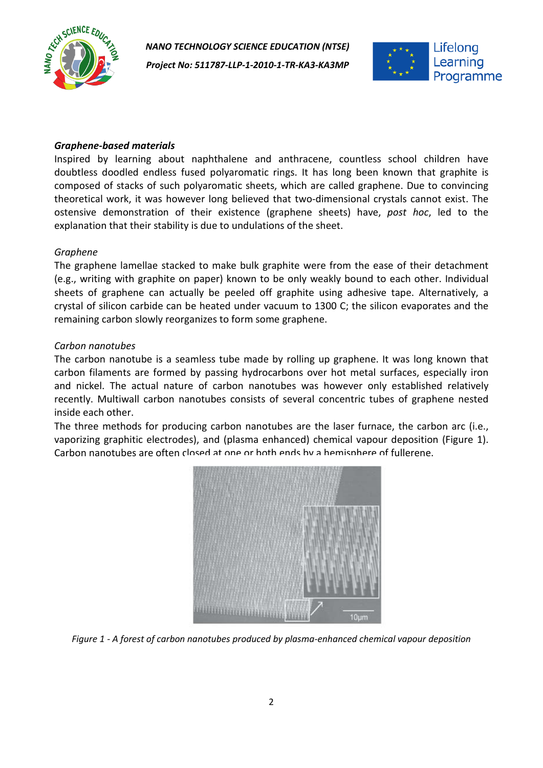



#### *Graphene-based materials*

Inspired by learning about naphthalene and anthracene, countless school children have doubtless doodled endless fused polyaromatic rings. It has long been known that graphite is composed of stacks of such polyaromatic sheets, which are called graphene. Due to convincing theoretical work, it was however long believed that two-dimensional crystals cannot exist. The ostensive demonstration of their existence (graphene sheets) have, *post hoc*, led to the explanation that their stability is due to undulations of the sheet.

#### *Graphene*

The graphene lamellae stacked to make bulk graphite were from the ease of their detachment (e.g., writing with graphite on paper) known to be only weakly bound to each other. Individual sheets of graphene can actually be peeled off graphite using adhesive tape. Alternatively, a crystal of silicon carbide can be heated under vacuum to 1300 C; the silicon evaporates and the remaining carbon slowly reorganizes to form some graphene.

#### *Carbon nanotubes*

The carbon nanotube is a seamless tube made by rolling up graphene. It was long known that carbon filaments are formed by passing hydrocarbons over hot metal surfaces, especially iron and nickel. The actual nature of carbon nanotubes was however only established relatively recently. Multiwall carbon nanotubes consists of several concentric tubes of graphene nested inside each other.

The three methods for producing carbon nanotubes are the laser furnace, the carbon arc (i.e., vaporizing graphitic electrodes), and (plasma enhanced) chemical vapour deposition (Figure 1). Carbon nanotubes are often closed at one or both ends by a hemisphere of fullerene.



*Figure 1 - A forest of carbon nanotubes produced by plasma-enhanced chemical vapour deposition*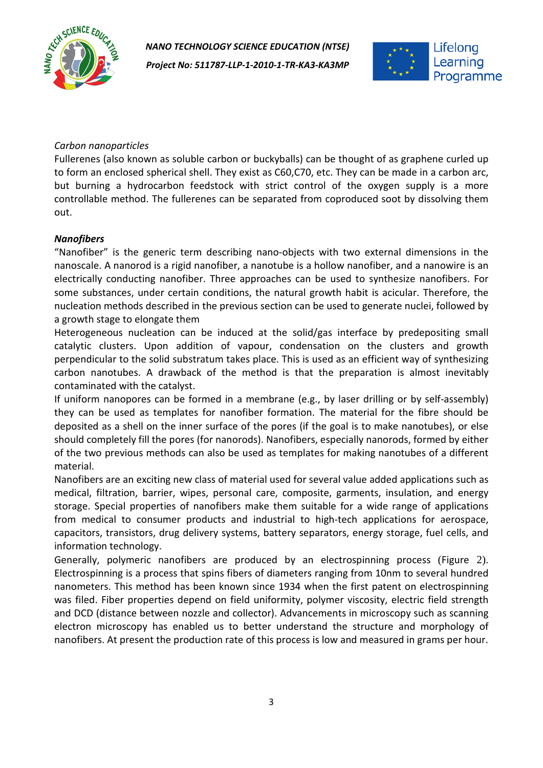



# *Carbon nanoparticles*

Fullerenes (also known as soluble carbon or buckyballs) can be thought of as graphene curled up to form an enclosed spherical shell. They exist as C60,C70, etc. They can be made in a carbon arc, but burning a hydrocarbon feedstock with strict control of the oxygen supply is a more controllable method. The fullerenes can be separated from coproduced soot by dissolving them out.

## *Nanofibers*

"Nanofiber" is the generic term describing nano-objects with two external dimensions in the nanoscale. A nanorod is a rigid nanofiber, a nanotube is a hollow nanofiber, and a nanowire is an electrically conducting nanofiber. Three approaches can be used to synthesize nanofibers. For some substances, under certain conditions, the natural growth habit is acicular. Therefore, the nucleation methods described in the previous section can be used to generate nuclei, followed by a growth stage to elongate them

Heterogeneous nucleation can be induced at the solid/gas interface by predepositing small catalytic clusters. Upon addition of vapour, condensation on the clusters and growth perpendicular to the solid substratum takes place. This is used as an efficient way of synthesizing carbon nanotubes. A drawback of the method is that the preparation is almost inevitably contaminated with the catalyst.

If uniform nanopores can be formed in a membrane (e.g., by laser drilling or by self-assembly) they can be used as templates for nanofiber formation. The material for the fibre should be deposited as a shell on the inner surface of the pores (if the goal is to make nanotubes), or else should completely fill the pores (for nanorods). Nanofibers, especially nanorods, formed by either of the two previous methods can also be used as templates for making nanotubes of a different material.

Nanofibers are an exciting new class of material used for several value added applications such as medical, filtration, barrier, wipes, personal care, composite, garments, insulation, and energy storage. Special properties of nanofibers make them suitable for a wide range of applications from medical to consumer products and industrial to high-tech applications for aerospace, capacitors, transistors, drug delivery systems, battery separators, energy storage, fuel cells, and information technology.

Generally, polymeric nanofibers are produced by an electrospinning process (Figure 2). Electrospinning is a process that spins fibers of diameters ranging from 10nm to several hundred nanometers. This method has been known since 1934 when the first patent on electrospinning was filed. Fiber properties depend on field uniformity, polymer viscosity, electric field strength and DCD (distance between nozzle and collector). Advancements in microscopy such as scanning electron microscopy has enabled us to better understand the structure and morphology of nanofibers. At present the production rate of this process is low and measured in grams per hour.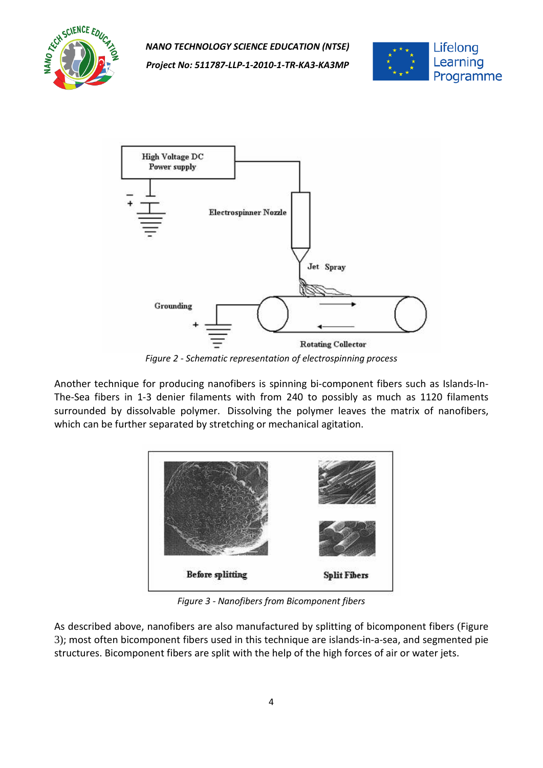





*Figure 2 - Schematic representation of electrospinning process*

Another technique for producing nanofibers is spinning bi-component fibers such as Islands-In-The-Sea fibers in 1-3 denier filaments with from 240 to possibly as much as 1120 filaments surrounded by dissolvable polymer. Dissolving the polymer leaves the matrix of nanofibers, which can be further separated by stretching or mechanical agitation.



*Figure 3 - Nanofibers from Bicomponent fibers*

As described above, nanofibers are also manufactured by splitting of bicomponent fibers (Figure 3); most often bicomponent fibers used in this technique are islands-in-a-sea, and segmented pie structures. Bicomponent fibers are split with the help of the high forces of air or water jets.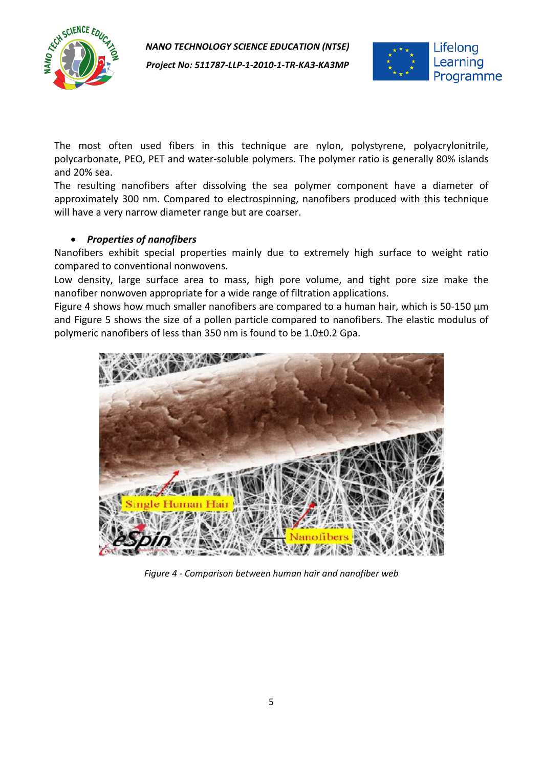



The most often used fibers in this technique are nylon, polystyrene, polyacrylonitrile, polycarbonate, PEO, PET and water-soluble polymers. The polymer ratio is generally 80% islands and 20% sea.

The resulting nanofibers after dissolving the sea polymer component have a diameter of approximately 300 nm. Compared to electrospinning, nanofibers produced with this technique will have a very narrow diameter range but are coarser.

# • *Properties of nanofibers*

Nanofibers exhibit special properties mainly due to extremely high surface to weight ratio compared to conventional nonwovens.

Low density, large surface area to mass, high pore volume, and tight pore size make the nanofiber nonwoven appropriate for a wide range of filtration applications.

Figure 4 shows how much smaller nanofibers are compared to a human hair, which is 50-150  $\mu$ m and Figure 5 shows the size of a pollen particle compared to nanofibers. The elastic modulus of polymeric nanofibers of less than 350 nm is found to be 1.0±0.2 Gpa.



*Figure 4 - Comparison between human hair and nanofiber web*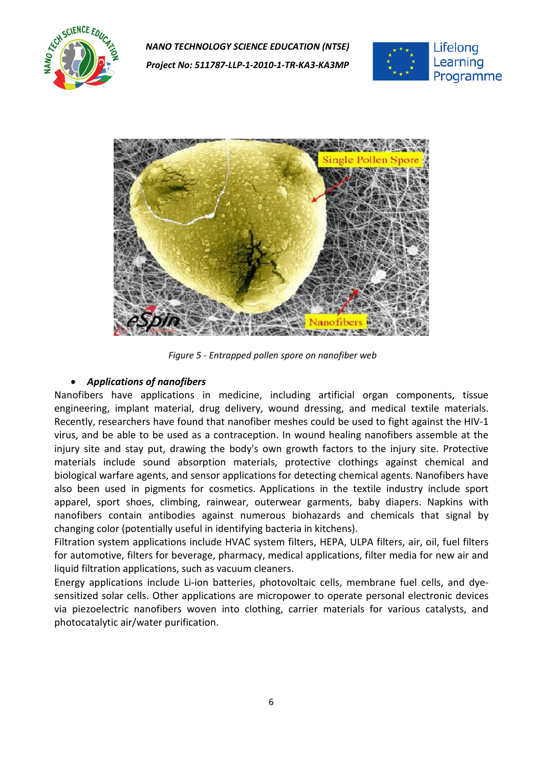





*Figure 5 - Entrapped pollen spore on nanofiber web*

## • *Applications of nanofibers*

Nanofibers have applications in medicine, including artificial organ components, tissue engineering, implant material, drug delivery, wound dressing, and medical textile materials. Recently, researchers have found that nanofiber meshes could be used to fight against the HIV-1 virus, and be able to be used as a contraception. In wound healing nanofibers assemble at the injury site and stay put, drawing the body's own growth factors to the injury site. Protective materials include sound absorption materials, protective clothings against chemical and biological warfare agents, and sensor applications for detecting chemical agents. Nanofibers have also been used in pigments for cosmetics. Applications in the textile industry include sport apparel, sport shoes, climbing, rainwear, outerwear garments, baby diapers. Napkins with nanofibers contain antibodies against numerous biohazards and chemicals that signal by changing color (potentially useful in identifying bacteria in kitchens).

Filtration system applications include HVAC system filters, HEPA, ULPA filters, air, oil, fuel filters for automotive, filters for beverage, pharmacy, medical applications, filter media for new air and liquid filtration applications, such as vacuum cleaners.

Energy applications include Li-ion batteries, photovoltaic cells, membrane fuel cells, and dyesensitized solar cells. Other applications are micropower to operate personal electronic devices via piezoelectric nanofibers woven into clothing, carrier materials for various catalysts, and photocatalytic air/water purification.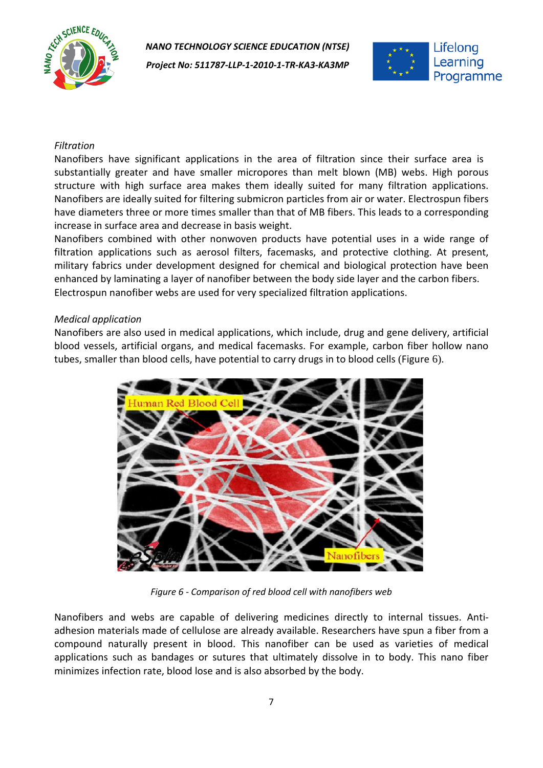



## *Filtration*

Nanofibers have significant applications in the area of filtration since their surface area is substantially greater and have smaller micropores than melt blown (MB) webs. High porous structure with high surface area makes them ideally suited for many filtration applications. Nanofibers are ideally suited for filtering submicron particles from air or water. Electrospun fibers have diameters three or more times smaller than that of MB fibers. This leads to a corresponding increase in surface area and decrease in basis weight.

Nanofibers combined with other nonwoven products have potential uses in a wide range of filtration applications such as aerosol filters, facemasks, and protective clothing. At present, military fabrics under development designed for chemical and biological protection have been enhanced by laminating a layer of nanofiber between the body side layer and the carbon fibers. Electrospun nanofiber webs are used for very specialized filtration applications.

#### *Medical application*

Nanofibers are also used in medical applications, which include, drug and gene delivery, artificial blood vessels, artificial organs, and medical facemasks. For example, carbon fiber hollow nano tubes, smaller than blood cells, have potential to carry drugs in to blood cells (Figure 6).



*Figure 6 - Comparison of red blood cell with nanofibers web*

Nanofibers and webs are capable of delivering medicines directly to internal tissues. Antiadhesion materials made of cellulose are already available. Researchers have spun a fiber from a compound naturally present in blood. This nanofiber can be used as varieties of medical applications such as bandages or sutures that ultimately dissolve in to body. This nano fiber minimizes infection rate, blood lose and is also absorbed by the body.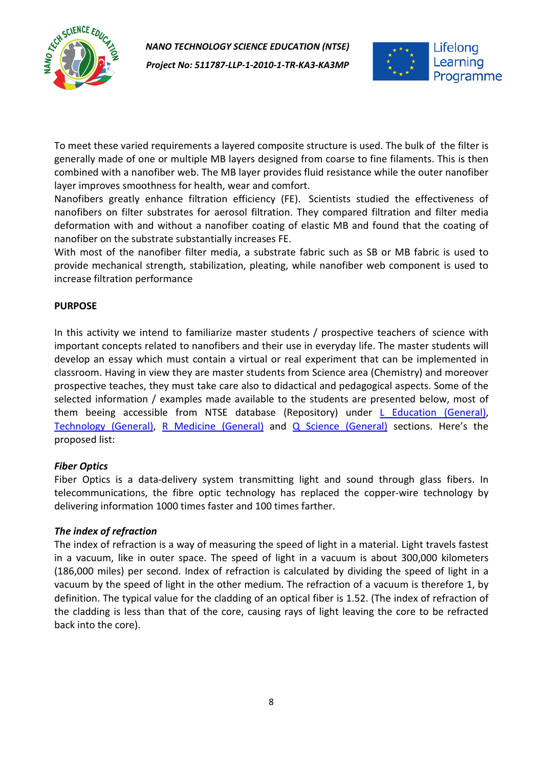



To meet these varied requirements a layered composite structure is used. The bulk of the filter is generally made of one or multiple MB layers designed from coarse to fine filaments. This is then combined with a nanofiber web. The MB layer provides fluid resistance while the outer nanofiber layer improves smoothness for health, wear and comfort.

Nanofibers greatly enhance filtration efficiency (FE). Scientists studied the effectiveness of nanofibers on filter substrates for aerosol filtration. They compared filtration and filter media deformation with and without a nanofiber coating of elastic MB and found that the coating of nanofiber on the substrate substantially increases FE.

With most of the nanofiber filter media, a substrate fabric such as SB or MB fabric is used to provide mechanical strength, stabilization, pleating, while nanofiber web component is used to increase filtration performance

## **PURPOSE**

In this activity we intend to familiarize master students / prospective teachers of science with important concepts related to nanofibers and their use in everyday life. The master students will develop an essay which must contain a virtual or real experiment that can be implemented in classroom. Having in view they are master students from Science area (Chemistry) and moreover prospective teaches, they must take care also to didactical and pedagogical aspects. Some of the selected information / examples made available to the students are presented below, most of them beeing accessible from NTSE database (Repository) under *L Education (General)*, [Technology \(General\)](http://ntse.ssai.valahia.ro/view/subjects/T1.html), [R Medicine](http://ntse.ssai.valahia.ro/view/subjects/R1.html) (General) and [Q Science \(General\)](http://ntse.ssai.valahia.ro/view/subjects/Q1.html) sections. Here's the proposed list:

#### *Fiber Optics*

Fiber Optics is a data-delivery system transmitting light and sound through glass fibers. In telecommunications, the fibre optic technology has replaced the copper-wire technology by delivering information 1000 times faster and 100 times farther.

#### *The index of refraction*

The index of refraction is a way of measuring the speed of light in a material. Light travels fastest in a vacuum, like in outer space. The speed of light in a vacuum is about 300,000 kilometers (186,000 miles) per second. Index of refraction is calculated by dividing the speed of light in a vacuum by the speed of light in the other medium. The refraction of a vacuum is therefore 1, by definition. The typical value for the cladding of an optical fiber is 1.52. (The index of refraction of the cladding is less than that of the core, causing rays of light leaving the core to be refracted back into the core).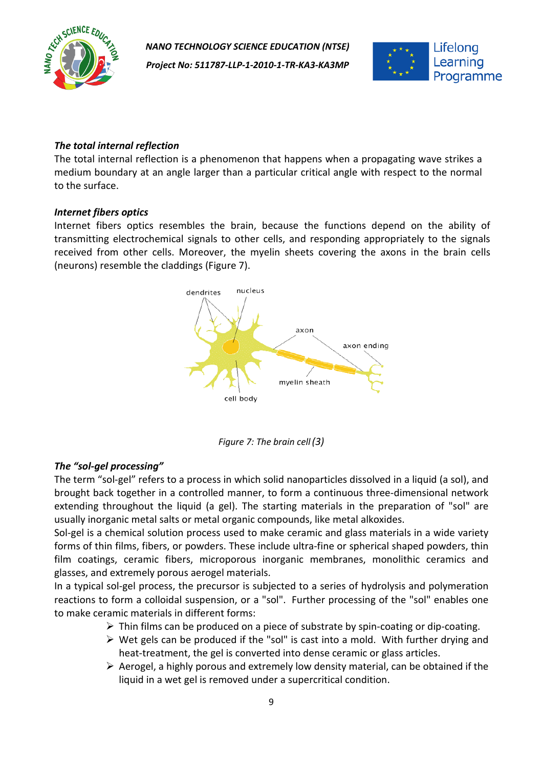



## *The total internal reflection*

The total internal reflection is a phenomenon that happens when a propagating [wave](http://en.wikipedia.org/wiki/Wave) strikes a medium boundary at an angle larger than a particular [critical angle](http://en.wikipedia.org/wiki/Total_internal_reflection#Critical_angle) with respect to the [normal](http://en.wikipedia.org/wiki/Normal_(geometry)) to the surface.

## *Internet fibers optics*

Internet fibers optics resembles the brain, because the functions depend on the ability of transmitting electrochemical signals to other cells, and responding appropriately to the signals received from other cells. Moreover, the myelin sheets covering the axons in the brain cells (neurons) resemble the claddings (Figure 7).



*Figure 7: The brain cell(3)*

# *The "sol-gel processing"*

The term "sol-gel" refers to a process in which solid nanoparticles dissolved in a liquid (a sol), and brought back together in a controlled manner, to form a continuous three-dimensional network extending throughout the liquid (a gel). The starting materials in the preparation of "sol" are usually inorganic metal salts or metal organic compounds, like metal alkoxides.

Sol-gel is a chemical solution process used to make ceramic and glass materials in a wide variety forms of thin films, fibers, or powders. These include ultra-fine or spherical shaped powders, thin film coatings, ceramic fibers, microporous inorganic membranes, monolithic ceramics and glasses, and extremely porous aerogel materials.

In a typical sol-gel process, the precursor is subjected to a series of hydrolysis and polymeration reactions to form a colloidal suspension, or a "sol". Further processing of the "sol" enables one to make ceramic materials in different forms:

- $\triangleright$  Thin films can be produced on a piece of substrate by spin-coating or dip-coating.
- Wet gels can be produced if the "sol" is cast into a mold. With further drying and heat-treatment, the gel is converted into dense ceramic or glass articles.
- $\triangleright$  Aerogel, a highly porous and extremely low density material, can be obtained if the liquid in a wet gel is removed under a supercritical condition.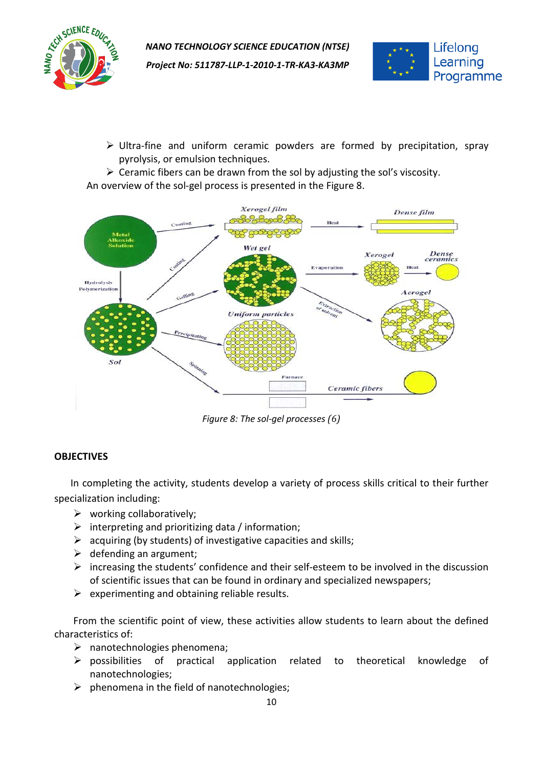

*Project No: 511787-LLP-1-2010-1-TR-KA3-KA3MP*



- $\triangleright$  Ultra-fine and uniform ceramic powders are formed by precipitation, spray pyrolysis, or emulsion techniques.
- $\triangleright$  Ceramic fibers can be drawn from the sol by adjusting the sol's viscosity. An overview of the sol-gel process is presented in the Figure 8.



*Figure 8: The sol-gel processes (6)*

#### **OBJECTIVES**

In completing the activity, students develop a variety of process skills critical to their further specialization including:

- $\triangleright$  working collaboratively;
- $\triangleright$  interpreting and prioritizing data / information;
- $\triangleright$  acquiring (by students) of investigative capacities and skills;
- $\triangleright$  defending an argument;
- $\triangleright$  increasing the students' confidence and their self-esteem to be involved in the discussion of scientific issues that can be found in ordinary and specialized newspapers;
- $\triangleright$  experimenting and obtaining reliable results.

From the scientific point of view, these activities allow students to learn about the defined characteristics of:

- nanotechnologies phenomena;
- $\triangleright$  possibilities of practical application related to theoretical knowledge of nanotechnologies;
- $\triangleright$  phenomena in the field of nanotechnologies;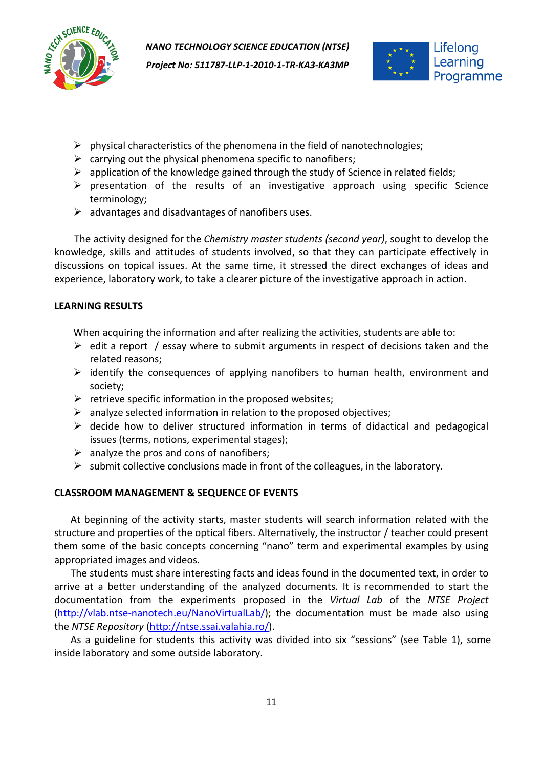



- $\triangleright$  physical characteristics of the phenomena in the field of nanotechnologies;
- $\triangleright$  carrying out the physical phenomena specific to nanofibers;
- $\triangleright$  application of the knowledge gained through the study of Science in related fields;
- $\triangleright$  presentation of the results of an investigative approach using specific Science terminology;
- $\triangleright$  advantages and disadvantages of nanofibers uses.

The activity designed for the *Chemistry master students (second year)*, sought to develop the knowledge, skills and attitudes of students involved, so that they can participate effectively in discussions on topical issues. At the same time, it stressed the direct exchanges of ideas and experience, laboratory work, to take a clearer picture of the investigative approach in action.

## **LEARNING RESULTS**

When acquiring the information and after realizing the activities, students are able to:

- $\triangleright$  edit a report / essay where to submit arguments in respect of decisions taken and the related reasons;
- $\triangleright$  identify the consequences of applying nanofibers to human health, environment and society;
- $\triangleright$  retrieve specific information in the proposed websites;
- $\triangleright$  analyze selected information in relation to the proposed objectives;
- $\triangleright$  decide how to deliver structured information in terms of didactical and pedagogical issues (terms, notions, experimental stages);
- $\triangleright$  analyze the pros and cons of nanofibers;
- $\triangleright$  submit collective conclusions made in front of the colleagues, in the laboratory.

# **CLASSROOM MANAGEMENT & SEQUENCE OF EVENTS**

At beginning of the activity starts, master students will search information related with the structure and properties of the optical fibers. Alternatively, the instructor / teacher could present them some of the basic concepts concerning "nano" term and experimental examples by using appropriated images and videos.

The students must share interesting facts and ideas found in the documented text, in order to arrive at a better understanding of the analyzed documents. It is recommended to start the documentation from the experiments proposed in the *Virtual Lab* of the *NTSE Project* (http://vlab.ntse-[nanotech.eu/NanoVirtualLab/](http://vlab.ntse-nanotech.eu/NanoVirtualLab/)); the documentation must be made also using the *NTSE Repository* [\(http://ntse.ssai.valahia.ro/\)](http://ntse.ssai.valahia.ro/).

As a guideline for students this activity was divided into six "sessions" (see Table 1), some inside laboratory and some outside laboratory.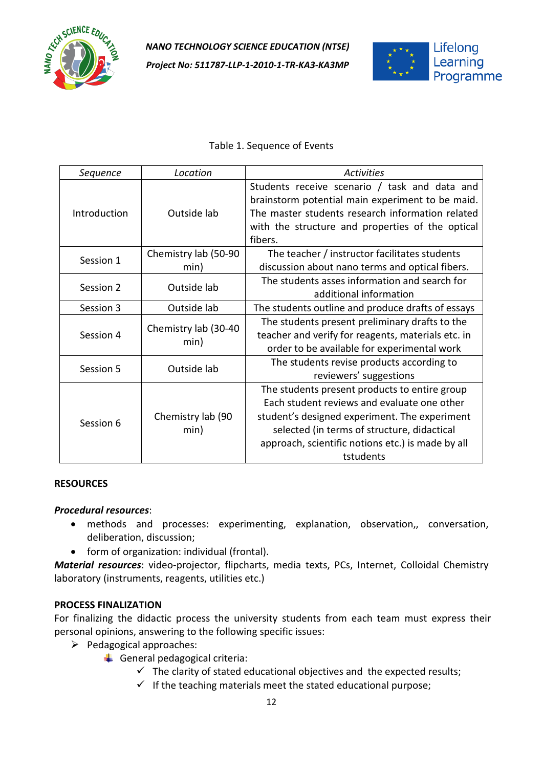

*Project No: 511787-LLP-1-2010-1-TR-KA3-KA3MP*



## Table 1. Sequence of Events

| Sequence     | Location                     | <b>Activities</b>                                                                                                                                                                                                                                              |
|--------------|------------------------------|----------------------------------------------------------------------------------------------------------------------------------------------------------------------------------------------------------------------------------------------------------------|
| Introduction | Outside lab                  | Students receive scenario / task and data and<br>brainstorm potential main experiment to be maid.<br>The master students research information related<br>with the structure and properties of the optical                                                      |
|              | Chemistry lab (50-90         | fibers.<br>The teacher / instructor facilitates students                                                                                                                                                                                                       |
| Session 1    | min)                         | discussion about nano terms and optical fibers.                                                                                                                                                                                                                |
| Session 2    | Outside lab                  | The students asses information and search for<br>additional information                                                                                                                                                                                        |
| Session 3    | Outside lab                  | The students outline and produce drafts of essays                                                                                                                                                                                                              |
| Session 4    | Chemistry lab (30-40<br>min) | The students present preliminary drafts to the<br>teacher and verify for reagents, materials etc. in<br>order to be available for experimental work                                                                                                            |
| Session 5    | Outside lab                  | The students revise products according to<br>reviewers' suggestions                                                                                                                                                                                            |
| Session 6    | Chemistry lab (90<br>min)    | The students present products to entire group<br>Each student reviews and evaluate one other<br>student's designed experiment. The experiment<br>selected (in terms of structure, didactical<br>approach, scientific notions etc.) is made by all<br>tstudents |

#### **RESOURCES**

#### *Procedural resources*:

- methods and processes: experimenting, explanation, observation,, conversation, deliberation, discussion;
- form of organization: individual (frontal).

*Material resources*: video-projector, flipcharts, media texts, PCs, Internet, Colloidal Chemistry laboratory (instruments, reagents, utilities etc.)

## **PROCESS FINALIZATION**

For finalizing the didactic process the university students from each team must express their personal opinions, answering to the following specific issues:

- $\triangleright$  Pedagogical approaches:
	- $\triangleq$  General pedagogical criteria:
		- $\checkmark$  The clarity of stated educational objectives and the expected results;
		- $\checkmark$  If the teaching materials meet the stated educational purpose;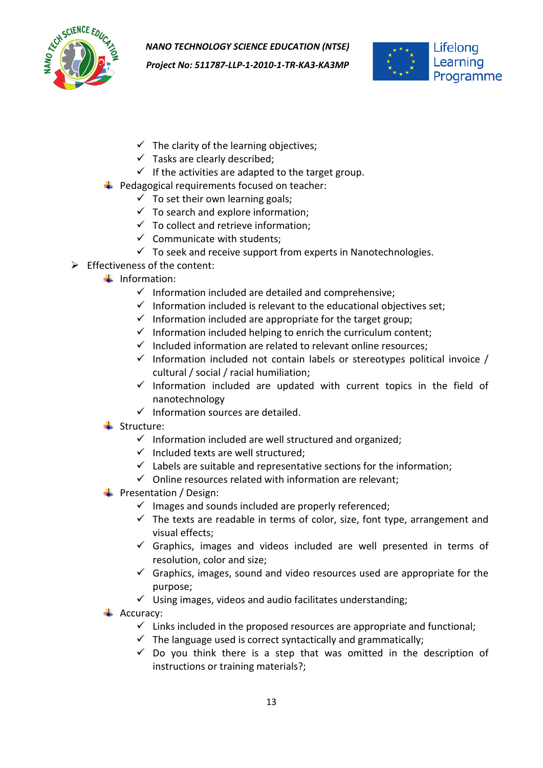

*Project No: 511787-LLP-1-2010-1-TR-KA3-KA3MP*



- $\checkmark$  The clarity of the learning objectives;
- $\checkmark$  Tasks are clearly described;
- $\checkmark$  If the activities are adapted to the target group.
- $\bigstar$  Pedagogical requirements focused on teacher:
	- $\checkmark$  To set their own learning goals;
	- $\checkmark$  To search and explore information;
	- $\checkmark$  To collect and retrieve information;
	- $\checkmark$  Communicate with students;
	- $\checkmark$  To seek and receive support from experts in Nanotechnologies.
- $\triangleright$  Effectiveness of the content:
	- $\blacksquare$  Information:
		- $\checkmark$  Information included are detailed and comprehensive;
		- $\checkmark$  Information included is relevant to the educational objectives set;
		- $\checkmark$  Information included are appropriate for the target group;
		- $\checkmark$  Information included helping to enrich the curriculum content;
		- $\checkmark$  Included information are related to relevant online resources;
		- $\checkmark$  Information included not contain labels or stereotypes political invoice / cultural / social / racial humiliation;
		- $\checkmark$  Information included are updated with current topics in the field of nanotechnology
		- $\checkmark$  Information sources are detailed.
	- **L** Structure:
		- $\checkmark$  Information included are well structured and organized;
		- $\checkmark$  Included texts are well structured;
		- $\checkmark$  Labels are suitable and representative sections for the information;
		- $\checkmark$  Online resources related with information are relevant;
	- $\leftarrow$  Presentation / Design:
		- $\checkmark$  Images and sounds included are properly referenced;
		- $\checkmark$  The texts are readable in terms of color, size, font type, arrangement and visual effects;
		- $\checkmark$  Graphics, images and videos included are well presented in terms of resolution, color and size;
		- $\checkmark$  Graphics, images, sound and video resources used are appropriate for the purpose;
		- $\checkmark$  Using images, videos and audio facilitates understanding;
	- $\triangleq$  Accuracy:
		- $\checkmark$  Links included in the proposed resources are appropriate and functional;
		- $\checkmark$  The language used is correct syntactically and grammatically;
		- $\checkmark$  Do you think there is a step that was omitted in the description of instructions or training materials?;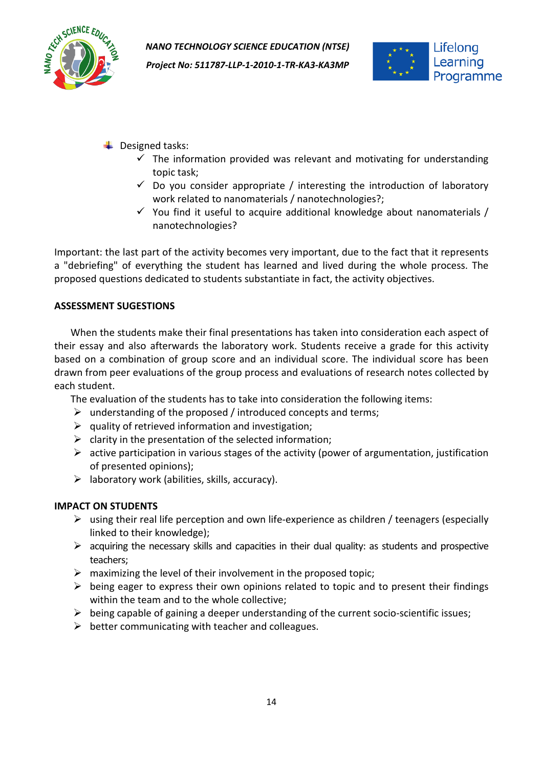



- $\leftarrow$  Designed tasks:
	- $\checkmark$  The information provided was relevant and motivating for understanding topic task;
	- $\checkmark$  Do you consider appropriate / interesting the introduction of laboratory work related to nanomaterials / nanotechnologies?;
	- $\checkmark$  You find it useful to acquire additional knowledge about nanomaterials / nanotechnologies?

Important: the last part of the activity becomes very important, due to the fact that it represents a "debriefing" of everything the student has learned and lived during the whole process. The proposed questions dedicated to students substantiate in fact, the activity objectives.

## **ASSESSMENT SUGESTIONS**

When the students make their final presentations has taken into consideration each aspect of their essay and also afterwards the laboratory work. Students receive a grade for this activity based on a combination of group score and an individual score. The individual score has been drawn from peer evaluations of the group process and evaluations of research notes collected by each student.

The evaluation of the students has to take into consideration the following items:

- $\triangleright$  understanding of the proposed / introduced concepts and terms;
- $\triangleright$  quality of retrieved information and investigation;
- $\triangleright$  clarity in the presentation of the selected information;
- $\triangleright$  active participation in various stages of the activity (power of argumentation, justification of presented opinions);
- $\triangleright$  laboratory work (abilities, skills, accuracy).

#### **IMPACT ON STUDENTS**

- $\triangleright$  using their real life perception and own life-experience as children / teenagers (especially linked to their knowledge);
- $\triangleright$  acquiring the necessary skills and capacities in their dual quality: as students and prospective teachers;
- $\triangleright$  maximizing the level of their involvement in the proposed topic;
- $\triangleright$  being eager to express their own opinions related to topic and to present their findings within the team and to the whole collective;
- $\triangleright$  being capable of gaining a deeper understanding of the current socio-scientific issues;
- $\triangleright$  better communicating with teacher and colleagues.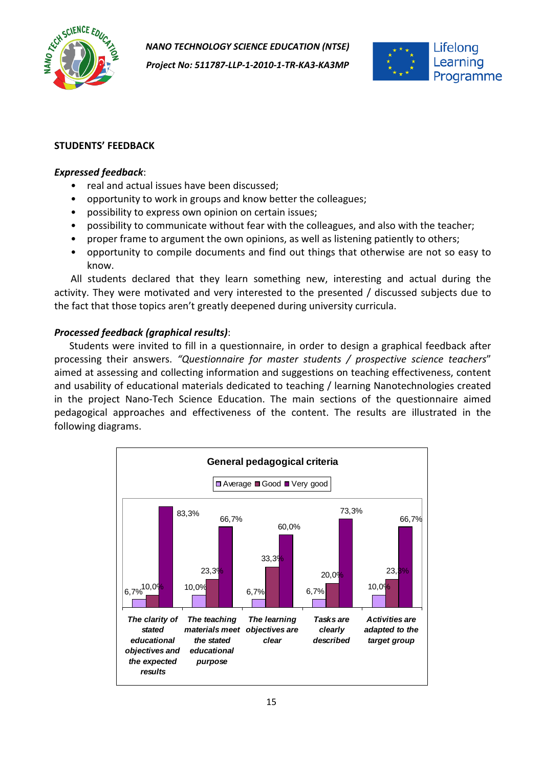



#### **STUDENTS' FEEDBACK**

#### *Expressed feedback*:

- real and actual issues have been discussed;
- opportunity to work in groups and know better the colleagues;
- possibility to express own opinion on certain issues;
- possibility to communicate without fear with the colleagues, and also with the teacher;
- proper frame to argument the own opinions, as well as listening patiently to others;
- opportunity to compile documents and find out things that otherwise are not so easy to know.

All students declared that they learn something new, interesting and actual during the activity. They were motivated and very interested to the presented / discussed subjects due to the fact that those topics aren't greatly deepened during university curricula.

#### *Processed feedback (graphical results)*:

Students were invited to fill in a questionnaire, in order to design a graphical feedback after processing their answers. *"Questionnaire for master students / prospective science teachers*" aimed at assessing and collecting information and suggestions on teaching effectiveness, content and usability of educational materials dedicated to teaching / learning Nanotechnologies created in the project Nano-Tech Science Education. The main sections of the questionnaire aimed pedagogical approaches and effectiveness of the content. The results are illustrated in the following diagrams.

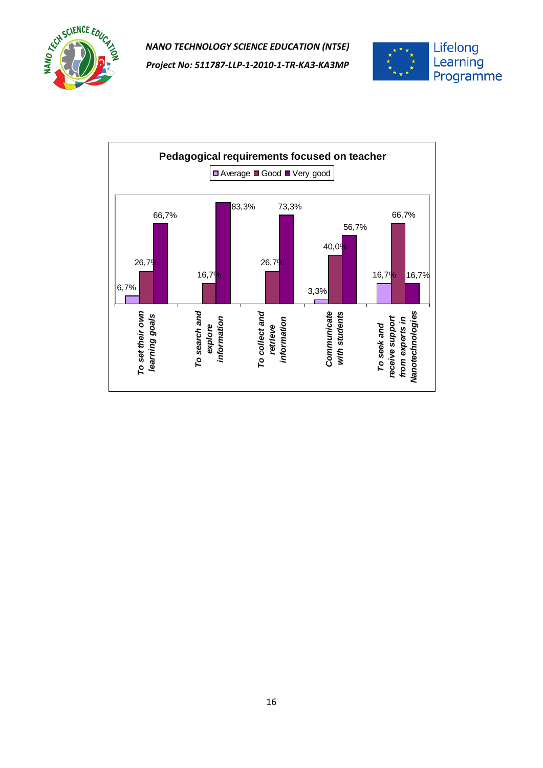

*Project No: 511787-LLP-1-2010-1-TR-KA3-KA3MP*



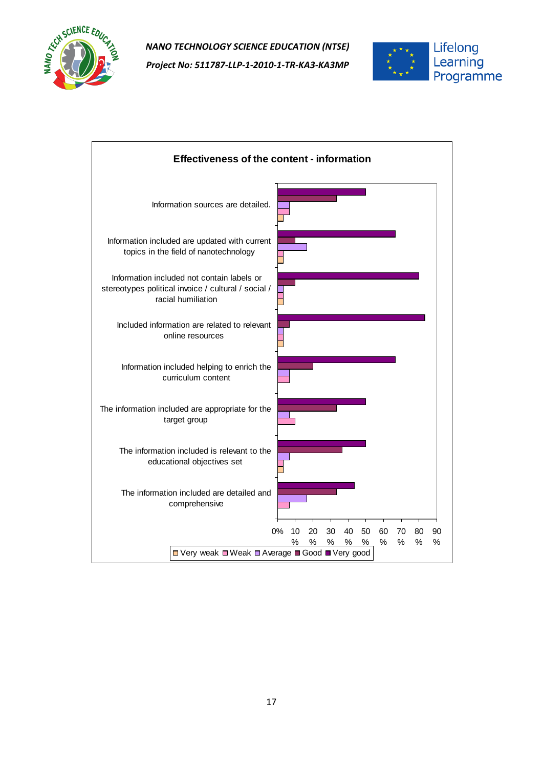

Lifelong Learning Programme

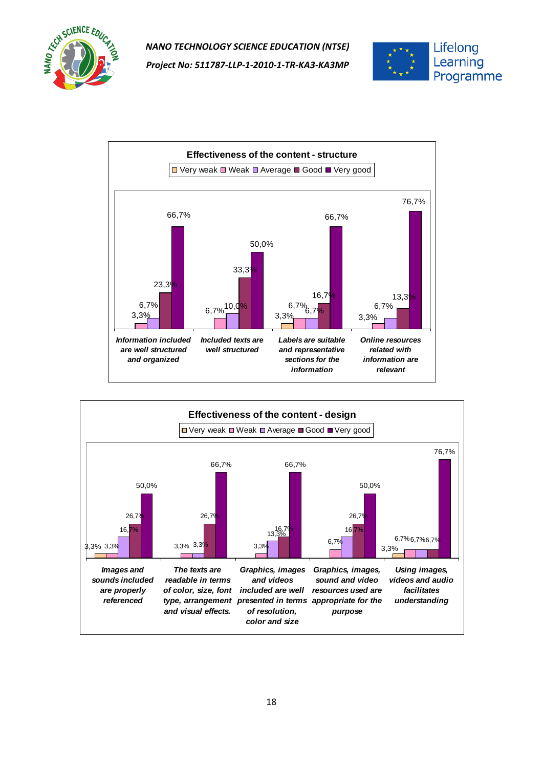

*Project No: 511787-LLP-1-2010-1-TR-KA3-KA3MP*





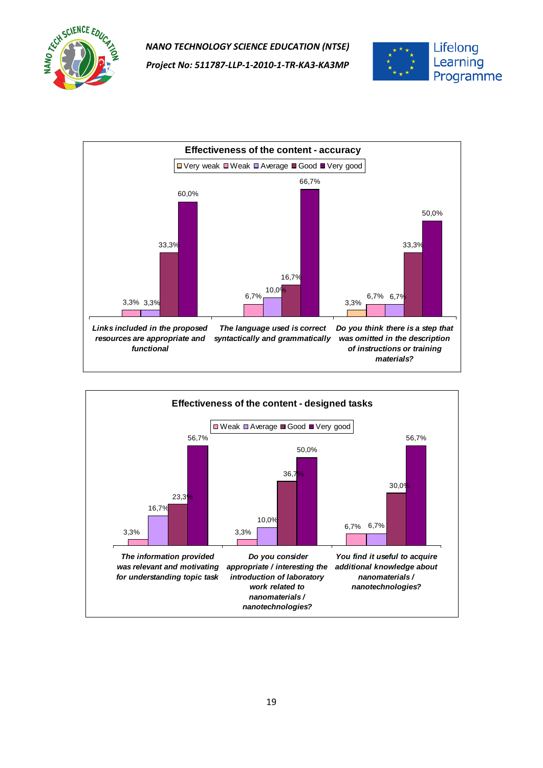